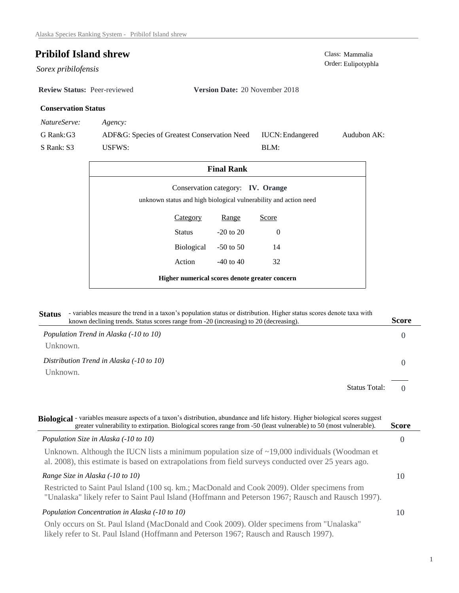$Sorex$  *pribilofensis* 

**Review Status:** Peer-reviewed **Version Date:** 20 November 2018

## **Conservation Status**

*NatureServe: Agency:*

G Rank:G3 S Rank: S3 ADF&G: Species of Greatest Conservation Need USFWS: Audubon AK: BLM: IUCN:Endangered

| <b>Final Rank</b>                              |            |               |                                                                                                       |  |
|------------------------------------------------|------------|---------------|-------------------------------------------------------------------------------------------------------|--|
|                                                |            |               | Conservation category: IV. Orange<br>unknown status and high biological vulnerability and action need |  |
|                                                | Category   | <b>Range</b>  | Score                                                                                                 |  |
|                                                | Status     | $-20$ to $20$ | 0                                                                                                     |  |
|                                                | Biological | $-50$ to 50   | 14                                                                                                    |  |
|                                                | Action     | $-40$ to $40$ | 32                                                                                                    |  |
| Higher numerical scores denote greater concern |            |               |                                                                                                       |  |

| <b>Status</b> | - variables measure the trend in a taxon's population status or distribution. Higher status scores denote taxa with<br>known declining trends. Status scores range from -20 (increasing) to 20 (decreasing). | Score |
|---------------|--------------------------------------------------------------------------------------------------------------------------------------------------------------------------------------------------------------|-------|
|               | Population Trend in Alaska (-10 to 10)                                                                                                                                                                       |       |
| Unknown.      |                                                                                                                                                                                                              |       |

*Distribution Trend in Alaska (-10 to 10)* Unknown.

> $\Omega$ Status Total:

0

| Biological - variables measure aspects of a taxon's distribution, abundance and life history. Higher biological scores suggest<br>greater vulnerability to extirpation. Biological scores range from -50 (least vulnerable) to 50 (most vulnerable). | <b>Score</b> |
|------------------------------------------------------------------------------------------------------------------------------------------------------------------------------------------------------------------------------------------------------|--------------|
| Population Size in Alaska (-10 to 10)                                                                                                                                                                                                                | 0            |
| Unknown. Although the IUCN lists a minimum population size of $\sim$ 19,000 individuals (Woodman et<br>al. 2008), this estimate is based on extrapolations from field surveys conducted over 25 years ago.                                           |              |
| Range Size in Alaska (-10 to 10)                                                                                                                                                                                                                     | 10           |
| Restricted to Saint Paul Island (100 sq. km.; MacDonald and Cook 2009). Older specimens from<br>"Unalaska" likely refer to Saint Paul Island (Hoffmann and Peterson 1967; Rausch and Rausch 1997).                                                   |              |
| Population Concentration in Alaska (-10 to 10)                                                                                                                                                                                                       | 10           |
| Only occurs on St. Paul Island (MacDonald and Cook 2009). Older specimens from "Unalaska"<br>likely refer to St. Paul Island (Hoffmann and Peterson 1967; Rausch and Rausch 1997).                                                                   |              |

**Pribilof Island shrew** Class: Mammalia Class: Mammalia Order: Eulipotyphla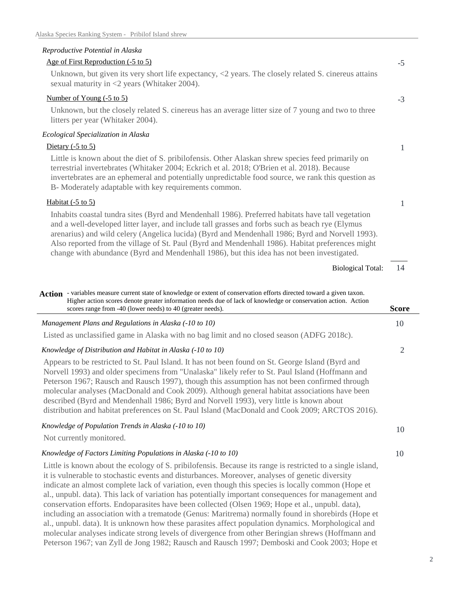# *Reproductive Potential in Alaska*

| Age of First Reproduction (-5 to 5) |  |
|-------------------------------------|--|
|                                     |  |

Unknown, but given its very short life expectancy,  $\langle 2 \rangle$  years. The closely related S. cinereus attains sexual maturity in <2 years (Whitaker 2004).

#### Number of Young (-5 to 5)

Unknown, but the closely related S. cinereus has an average litter size of 7 young and two to three litters per year (Whitaker 2004).

#### *Ecological Specialization in Alaska*

### Dietary (-5 to 5)

Little is known about the diet of S. pribilofensis. Other Alaskan shrew species feed primarily on terrestrial invertebrates (Whitaker 2004; Eckrich et al. 2018; O'Brien et al. 2018). Because invertebrates are an ephemeral and potentially unpredictable food source, we rank this question as B- Moderately adaptable with key requirements common.

### Habitat (-5 to 5)

Inhabits coastal tundra sites (Byrd and Mendenhall 1986). Preferred habitats have tall vegetation and a well-developed litter layer, and include tall grasses and forbs such as beach rye (Elymus arenarius) and wild celery (Angelica lucida) (Byrd and Mendenhall 1986; Byrd and Norvell 1993). Also reported from the village of St. Paul (Byrd and Mendenhall 1986). Habitat preferences might change with abundance (Byrd and Mendenhall 1986), but this idea has not been investigated.

Biological Total:

| Action - variables measure current state of knowledge or extent of conservation efforts directed toward a given taxon.<br>Higher action scores denote greater information needs due of lack of knowledge or conservation action. Action<br>scores range from -40 (lower needs) to 40 (greater needs).                                                                                                                                                                                                                                                                                                | Score |
|------------------------------------------------------------------------------------------------------------------------------------------------------------------------------------------------------------------------------------------------------------------------------------------------------------------------------------------------------------------------------------------------------------------------------------------------------------------------------------------------------------------------------------------------------------------------------------------------------|-------|
| Management Plans and Regulations in Alaska (-10 to 10)                                                                                                                                                                                                                                                                                                                                                                                                                                                                                                                                               |       |
|                                                                                                                                                                                                                                                                                                                                                                                                                                                                                                                                                                                                      | 10    |
| Listed as unclassified game in Alaska with no bag limit and no closed season (ADFG 2018c).                                                                                                                                                                                                                                                                                                                                                                                                                                                                                                           |       |
| Knowledge of Distribution and Habitat in Alaska (-10 to 10)                                                                                                                                                                                                                                                                                                                                                                                                                                                                                                                                          | 2     |
| Appears to be restricted to St. Paul Island. It has not been found on St. George Island (Byrd and<br>Norvell 1993) and older specimens from "Unalaska" likely refer to St. Paul Island (Hoffmann and<br>Peterson 1967; Rausch and Rausch 1997), though this assumption has not been confirmed through<br>molecular analyses (MacDonald and Cook 2009). Although general habitat associations have been<br>described (Byrd and Mendenhall 1986; Byrd and Norvell 1993), very little is known about<br>distribution and habitat preferences on St. Paul Island (MacDonald and Cook 2009; ARCTOS 2016). |       |
| Knowledge of Population Trends in Alaska (-10 to 10)<br>Not currently monitored.                                                                                                                                                                                                                                                                                                                                                                                                                                                                                                                     | 10    |
| Knowledge of Factors Limiting Populations in Alaska (-10 to 10)                                                                                                                                                                                                                                                                                                                                                                                                                                                                                                                                      | 10    |
| Little is known about the ecology of S. pribilofensis. Because its range is restricted to a single island,<br>it is vulnerable to stochastic events and disturbances. Moreover, analyses of genetic diversity<br>indicate an almost complete lack of variation, even though this species is locally common (Hope et                                                                                                                                                                                                                                                                                  |       |

al., unpubl. data). This lack of variation has potentially important consequences for management and conservation efforts. Endoparasites have been collected (Olsen 1969; Hope et al., unpubl. data), including an association with a trematode (Genus: Maritrema) normally found in shorebirds (Hope et al., unpubl. data). It is unknown how these parasites affect population dynamics. Morphological and molecular analyses indicate strong levels of divergence from other Beringian shrews (Hoffmann and Peterson 1967; van Zyll de Jong 1982; Rausch and Rausch 1997; Demboski and Cook 2003; Hope et

14

-5

-3

1

1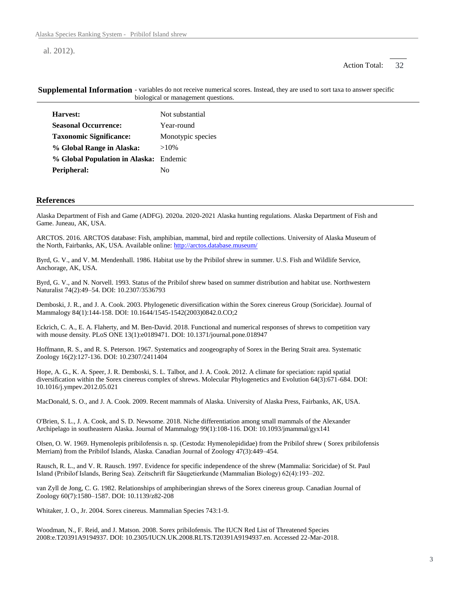al. 2012).

#### 32 Action Total:

| Harvest:                               | Not substantial   |
|----------------------------------------|-------------------|
| <b>Seasonal Occurrence:</b>            | Year-round        |
| <b>Taxonomic Significance:</b>         | Monotypic species |
| % Global Range in Alaska:              | $>10\%$           |
| % Global Population in Alaska: Endemic |                   |
| Peripheral:                            | N٥                |

Supplemental Information - variables do not receive numerical scores. Instead, they are used to sort taxa to answer specific biological or management questions.

#### **References**

Alaska Department of Fish and Game (ADFG). 2020a. 2020-2021 Alaska hunting regulations. Alaska Department of Fish and Game. Juneau, AK, USA.

ARCTOS. 2016. ARCTOS database: Fish, amphibian, mammal, bird and reptile collections. University of Alaska Museum of the North, Fairbanks, AK, USA. Available online: http://arctos.database.museum/

Byrd, G. V., and V. M. Mendenhall. 1986. Habitat use by the Pribilof shrew in summer. U.S. Fish and Wildlife Service, Anchorage, AK, USA.

Byrd, G. V., and N. Norvell. 1993. Status of the Pribilof shrew based on summer distribution and habitat use. Northwestern Naturalist 74(2):49–54. DOI: 10.2307/3536793

Demboski, J. R., and J. A. Cook. 2003. Phylogenetic diversification within the Sorex cinereus Group (Soricidae). Journal of Mammalogy 84(1):144-158. DOI: 10.1644/1545-1542(2003)0842.0.CO;2

Eckrich, C. A., E. A. Flaherty, and M. Ben-David. 2018. Functional and numerical responses of shrews to competition vary with mouse density. PLoS ONE 13(1):e0189471. DOI: 10.1371/journal.pone.018947

Hoffmann, R. S., and R. S. Peterson. 1967. Systematics and zoogeography of Sorex in the Bering Strait area. Systematic Zoology 16(2):127-136. DOI: 10.2307/2411404

Hope, A. G., K. A. Speer, J. R. Demboski, S. L. Talbot, and J. A. Cook. 2012. A climate for speciation: rapid spatial diversification within the Sorex cinereus complex of shrews. Molecular Phylogenetics and Evolution 64(3):671-684. DOI: 10.1016/j.ympev.2012.05.021

MacDonald, S. O., and J. A. Cook. 2009. Recent mammals of Alaska. University of Alaska Press, Fairbanks, AK, USA.

O'Brien, S. L., J. A. Cook, and S. D. Newsome. 2018. Niche differentiation among small mammals of the Alexander Archipelago in southeastern Alaska. Journal of Mammalogy 99(1):108-116. DOI: 10.1093/jmammal/gyx141

Olsen, O. W. 1969. Hymenolepis pribilofensis n. sp. (Cestoda: Hymenolepididae) from the Pribilof shrew ( Sorex pribilofensis Merriam) from the Pribilof Islands, Alaska. Canadian Journal of Zoology 47(3):449–454.

Rausch, R. L., and V. R. Rausch. 1997. Evidence for specific independence of the shrew (Mammalia: Soricidae) of St. Paul Island (Pribilof Islands, Bering Sea). Zeitschrift für Säugetierkunde (Mammalian Biology) 62(4):193–202.

van Zyll de Jong, C. G. 1982. Relationships of amphiberingian shrews of the Sorex cinereus group. Canadian Journal of Zoology 60(7):1580–1587. DOI: 10.1139/z82-208

Whitaker, J. O., Jr. 2004. Sorex cinereus. Mammalian Species 743:1-9.

Woodman, N., F. Reid, and J. Matson. 2008. Sorex pribilofensis. The IUCN Red List of Threatened Species 2008:e.T20391A9194937. DOI: 10.2305/IUCN.UK.2008.RLTS.T20391A9194937.en. Accessed 22-Mar-2018.